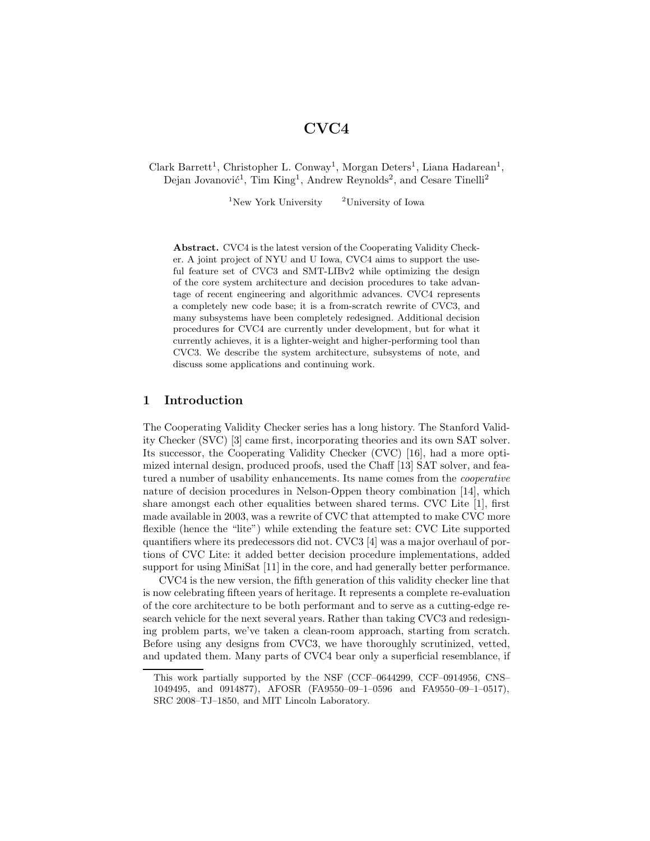# CVC4

Clark Barrett<sup>1</sup>, Christopher L. Conway<sup>1</sup>, Morgan Deters<sup>1</sup>, Liana Hadarean<sup>1</sup>, Dejan Jovanović<sup>1</sup>, Tim King<sup>1</sup>, Andrew Reynolds<sup>2</sup>, and Cesare Tinelli<sup>2</sup>

<sup>1</sup>New York University  $2$ <sup>University of Iowa</sub></sup>

Abstract. CVC4 is the latest version of the Cooperating Validity Checker. A joint project of NYU and U Iowa, CVC4 aims to support the useful feature set of CVC3 and SMT-LIBv2 while optimizing the design of the core system architecture and decision procedures to take advantage of recent engineering and algorithmic advances. CVC4 represents a completely new code base; it is a from-scratch rewrite of CVC3, and many subsystems have been completely redesigned. Additional decision procedures for CVC4 are currently under development, but for what it currently achieves, it is a lighter-weight and higher-performing tool than CVC3. We describe the system architecture, subsystems of note, and discuss some applications and continuing work.

# 1 Introduction

The Cooperating Validity Checker series has a long history. The Stanford Validity Checker (SVC) [3] came first, incorporating theories and its own SAT solver. Its successor, the Cooperating Validity Checker (CVC) [16], had a more optimized internal design, produced proofs, used the Chaff [13] SAT solver, and featured a number of usability enhancements. Its name comes from the cooperative nature of decision procedures in Nelson-Oppen theory combination [14], which share amongst each other equalities between shared terms. CVC Lite [1], first made available in 2003, was a rewrite of CVC that attempted to make CVC more flexible (hence the "lite") while extending the feature set: CVC Lite supported quantifiers where its predecessors did not. CVC3 [4] was a major overhaul of portions of CVC Lite: it added better decision procedure implementations, added support for using MiniSat [11] in the core, and had generally better performance.

CVC4 is the new version, the fifth generation of this validity checker line that is now celebrating fifteen years of heritage. It represents a complete re-evaluation of the core architecture to be both performant and to serve as a cutting-edge research vehicle for the next several years. Rather than taking CVC3 and redesigning problem parts, we've taken a clean-room approach, starting from scratch. Before using any designs from CVC3, we have thoroughly scrutinized, vetted, and updated them. Many parts of CVC4 bear only a superficial resemblance, if

This work partially supported by the NSF (CCF–0644299, CCF–0914956, CNS– 1049495, and 0914877), AFOSR (FA9550–09–1–0596 and FA9550–09–1–0517), SRC 2008–TJ–1850, and MIT Lincoln Laboratory.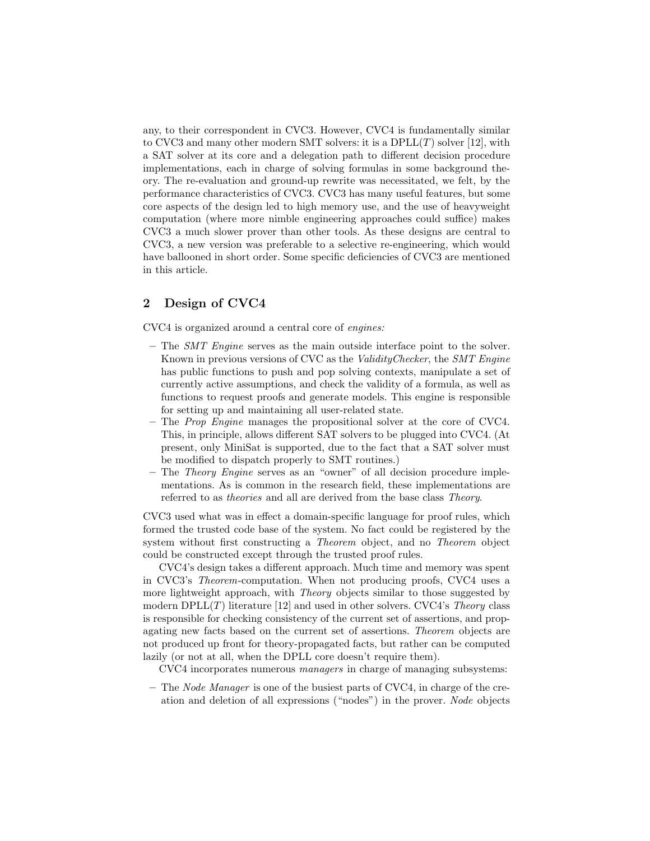any, to their correspondent in CVC3. However, CVC4 is fundamentally similar to CVC3 and many other modern SMT solvers: it is a  $DPLL(T)$  solver [12], with a SAT solver at its core and a delegation path to different decision procedure implementations, each in charge of solving formulas in some background theory. The re-evaluation and ground-up rewrite was necessitated, we felt, by the performance characteristics of CVC3. CVC3 has many useful features, but some core aspects of the design led to high memory use, and the use of heavyweight computation (where more nimble engineering approaches could suffice) makes CVC3 a much slower prover than other tools. As these designs are central to CVC3, a new version was preferable to a selective re-engineering, which would have ballooned in short order. Some specific deficiencies of CVC3 are mentioned in this article.

# 2 Design of CVC4

CVC4 is organized around a central core of engines:

- $-$  The *SMT Engine* serves as the main outside interface point to the solver. Known in previous versions of CVC as the ValidityChecker, the SMT Engine has public functions to push and pop solving contexts, manipulate a set of currently active assumptions, and check the validity of a formula, as well as functions to request proofs and generate models. This engine is responsible for setting up and maintaining all user-related state.
- The Prop Engine manages the propositional solver at the core of CVC4. This, in principle, allows different SAT solvers to be plugged into CVC4. (At present, only MiniSat is supported, due to the fact that a SAT solver must be modified to dispatch properly to SMT routines.)
- The Theory Engine serves as an "owner" of all decision procedure implementations. As is common in the research field, these implementations are referred to as theories and all are derived from the base class Theory.

CVC3 used what was in effect a domain-specific language for proof rules, which formed the trusted code base of the system. No fact could be registered by the system without first constructing a Theorem object, and no Theorem object could be constructed except through the trusted proof rules.

CVC4's design takes a different approach. Much time and memory was spent in CVC3's Theorem-computation. When not producing proofs, CVC4 uses a more lightweight approach, with *Theory* objects similar to those suggested by modern  $DPLL(T)$  literature [12] and used in other solvers. CVC4's Theory class is responsible for checking consistency of the current set of assertions, and propagating new facts based on the current set of assertions. Theorem objects are not produced up front for theory-propagated facts, but rather can be computed lazily (or not at all, when the DPLL core doesn't require them).

CVC4 incorporates numerous managers in charge of managing subsystems:

– The Node Manager is one of the busiest parts of CVC4, in charge of the creation and deletion of all expressions ("nodes") in the prover. Node objects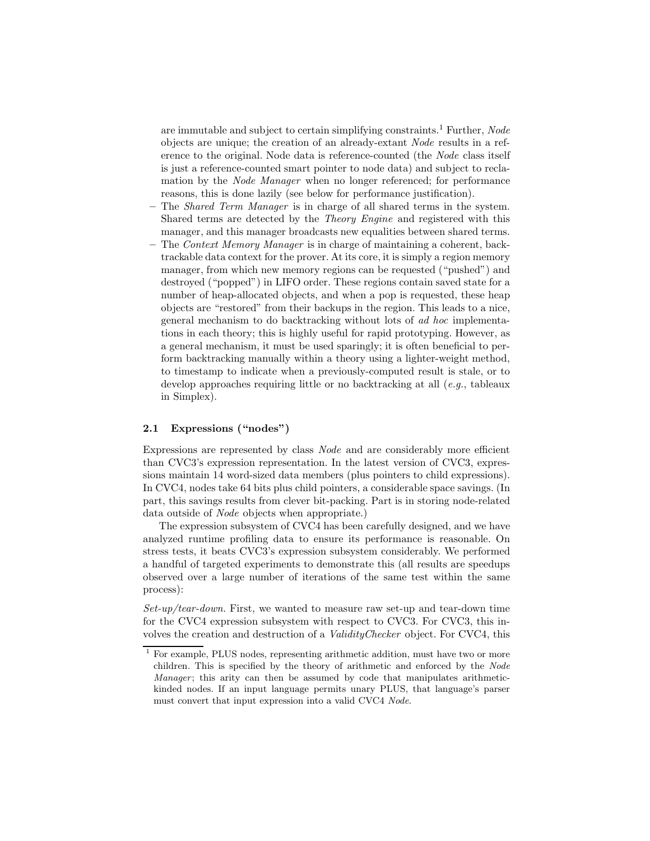are immutable and subject to certain simplifying constraints.<sup>1</sup> Further,  $Node$ objects are unique; the creation of an already-extant Node results in a reference to the original. Node data is reference-counted (the Node class itself is just a reference-counted smart pointer to node data) and subject to reclamation by the Node Manager when no longer referenced; for performance reasons, this is done lazily (see below for performance justification).

- The Shared Term Manager is in charge of all shared terms in the system. Shared terms are detected by the Theory Engine and registered with this manager, and this manager broadcasts new equalities between shared terms.
- The Context Memory Manager is in charge of maintaining a coherent, backtrackable data context for the prover. At its core, it is simply a region memory manager, from which new memory regions can be requested ("pushed") and destroyed ("popped") in LIFO order. These regions contain saved state for a number of heap-allocated objects, and when a pop is requested, these heap objects are "restored" from their backups in the region. This leads to a nice, general mechanism to do backtracking without lots of ad hoc implementations in each theory; this is highly useful for rapid prototyping. However, as a general mechanism, it must be used sparingly; it is often beneficial to perform backtracking manually within a theory using a lighter-weight method, to timestamp to indicate when a previously-computed result is stale, or to develop approaches requiring little or no backtracking at all (e.g., tableaux in Simplex).

#### 2.1 Expressions ("nodes")

Expressions are represented by class Node and are considerably more efficient than CVC3's expression representation. In the latest version of CVC3, expressions maintain 14 word-sized data members (plus pointers to child expressions). In CVC4, nodes take 64 bits plus child pointers, a considerable space savings. (In part, this savings results from clever bit-packing. Part is in storing node-related data outside of Node objects when appropriate.)

The expression subsystem of CVC4 has been carefully designed, and we have analyzed runtime profiling data to ensure its performance is reasonable. On stress tests, it beats CVC3's expression subsystem considerably. We performed a handful of targeted experiments to demonstrate this (all results are speedups observed over a large number of iterations of the same test within the same process):

 $Set-up/tear-down$ . First, we wanted to measure raw set-up and tear-down time for the CVC4 expression subsystem with respect to CVC3. For CVC3, this involves the creation and destruction of a ValidityChecker object. For CVC4, this

<sup>&</sup>lt;sup>1</sup> For example, PLUS nodes, representing arithmetic addition, must have two or more children. This is specified by the theory of arithmetic and enforced by the Node Manager; this arity can then be assumed by code that manipulates arithmetickinded nodes. If an input language permits unary PLUS, that language's parser must convert that input expression into a valid CVC4 Node.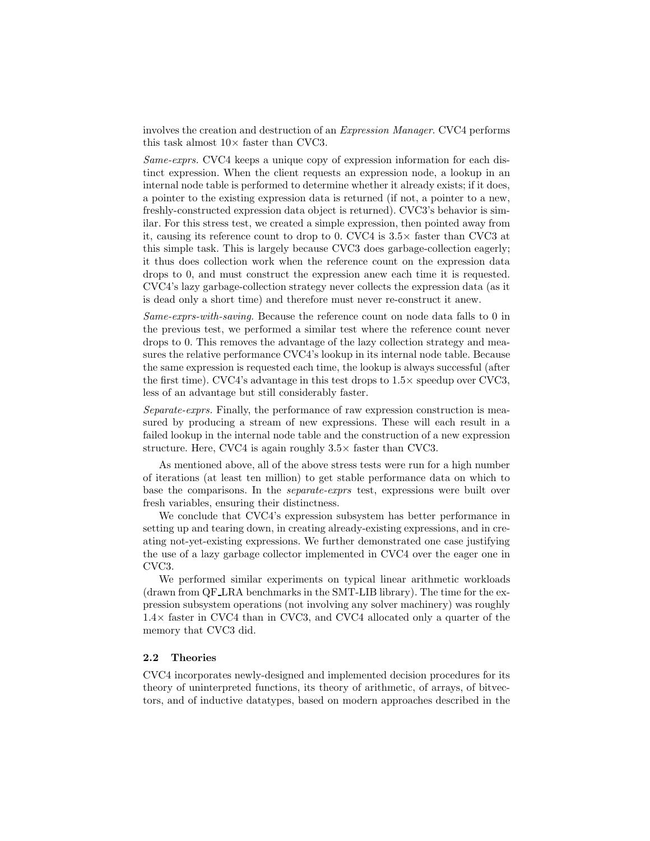involves the creation and destruction of an Expression Manager. CVC4 performs this task almost  $10\times$  faster than CVC3.

Same-exprs. CVC4 keeps a unique copy of expression information for each distinct expression. When the client requests an expression node, a lookup in an internal node table is performed to determine whether it already exists; if it does, a pointer to the existing expression data is returned (if not, a pointer to a new, freshly-constructed expression data object is returned). CVC3's behavior is similar. For this stress test, we created a simple expression, then pointed away from it, causing its reference count to drop to 0. CVC4 is  $3.5\times$  faster than CVC3 at this simple task. This is largely because CVC3 does garbage-collection eagerly; it thus does collection work when the reference count on the expression data drops to 0, and must construct the expression anew each time it is requested. CVC4's lazy garbage-collection strategy never collects the expression data (as it is dead only a short time) and therefore must never re-construct it anew.

Same-exprs-with-saving. Because the reference count on node data falls to 0 in the previous test, we performed a similar test where the reference count never drops to 0. This removes the advantage of the lazy collection strategy and measures the relative performance CVC4's lookup in its internal node table. Because the same expression is requested each time, the lookup is always successful (after the first time). CVC4's advantage in this test drops to 1.5× speedup over CVC3, less of an advantage but still considerably faster.

Separate-exprs. Finally, the performance of raw expression construction is measured by producing a stream of new expressions. These will each result in a failed lookup in the internal node table and the construction of a new expression structure. Here, CVC4 is again roughly  $3.5\times$  faster than CVC3.

As mentioned above, all of the above stress tests were run for a high number of iterations (at least ten million) to get stable performance data on which to base the comparisons. In the separate-exprs test, expressions were built over fresh variables, ensuring their distinctness.

We conclude that CVC4's expression subsystem has better performance in setting up and tearing down, in creating already-existing expressions, and in creating not-yet-existing expressions. We further demonstrated one case justifying the use of a lazy garbage collector implemented in CVC4 over the eager one in CVC3.

We performed similar experiments on typical linear arithmetic workloads (drawn from QF LRA benchmarks in the SMT-LIB library). The time for the expression subsystem operations (not involving any solver machinery) was roughly 1.4× faster in CVC4 than in CVC3, and CVC4 allocated only a quarter of the memory that CVC3 did.

#### 2.2 Theories

CVC4 incorporates newly-designed and implemented decision procedures for its theory of uninterpreted functions, its theory of arithmetic, of arrays, of bitvectors, and of inductive datatypes, based on modern approaches described in the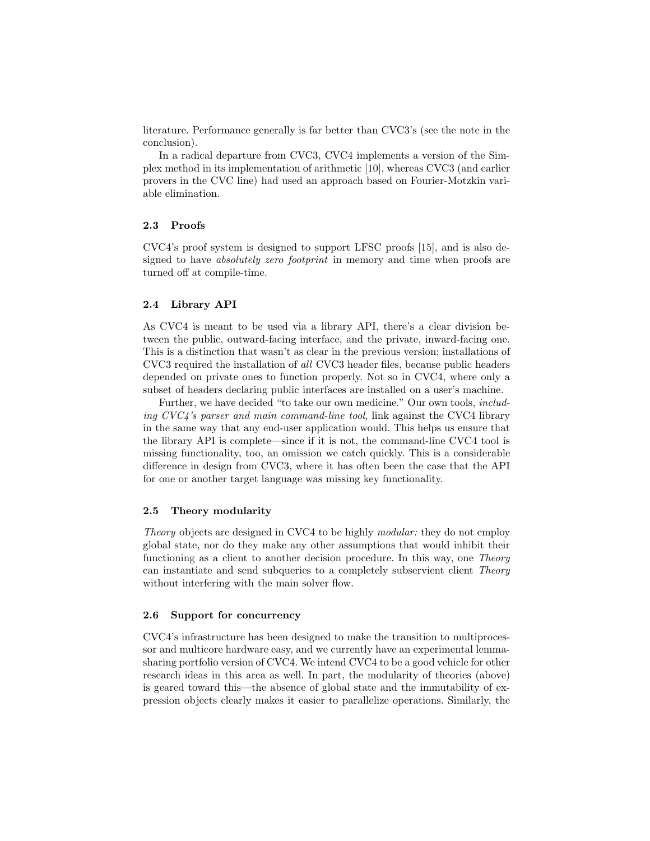literature. Performance generally is far better than CVC3's (see the note in the conclusion).

In a radical departure from CVC3, CVC4 implements a version of the Simplex method in its implementation of arithmetic [10], whereas CVC3 (and earlier provers in the CVC line) had used an approach based on Fourier-Motzkin variable elimination.

# 2.3 Proofs

CVC4's proof system is designed to support LFSC proofs [15], and is also designed to have *absolutely zero footprint* in memory and time when proofs are turned off at compile-time.

#### 2.4 Library API

As CVC4 is meant to be used via a library API, there's a clear division between the public, outward-facing interface, and the private, inward-facing one. This is a distinction that wasn't as clear in the previous version; installations of CVC3 required the installation of all CVC3 header files, because public headers depended on private ones to function properly. Not so in CVC4, where only a subset of headers declaring public interfaces are installed on a user's machine.

Further, we have decided "to take our own medicine." Our own tools, including CVC4's parser and main command-line tool, link against the CVC4 library in the same way that any end-user application would. This helps us ensure that the library API is complete—since if it is not, the command-line CVC4 tool is missing functionality, too, an omission we catch quickly. This is a considerable difference in design from CVC3, where it has often been the case that the API for one or another target language was missing key functionality.

#### 2.5 Theory modularity

Theory objects are designed in CVC4 to be highly modular: they do not employ global state, nor do they make any other assumptions that would inhibit their functioning as a client to another decision procedure. In this way, one Theory can instantiate and send subqueries to a completely subservient client Theory without interfering with the main solver flow.

#### 2.6 Support for concurrency

CVC4's infrastructure has been designed to make the transition to multiprocessor and multicore hardware easy, and we currently have an experimental lemmasharing portfolio version of CVC4. We intend CVC4 to be a good vehicle for other research ideas in this area as well. In part, the modularity of theories (above) is geared toward this—the absence of global state and the immutability of expression objects clearly makes it easier to parallelize operations. Similarly, the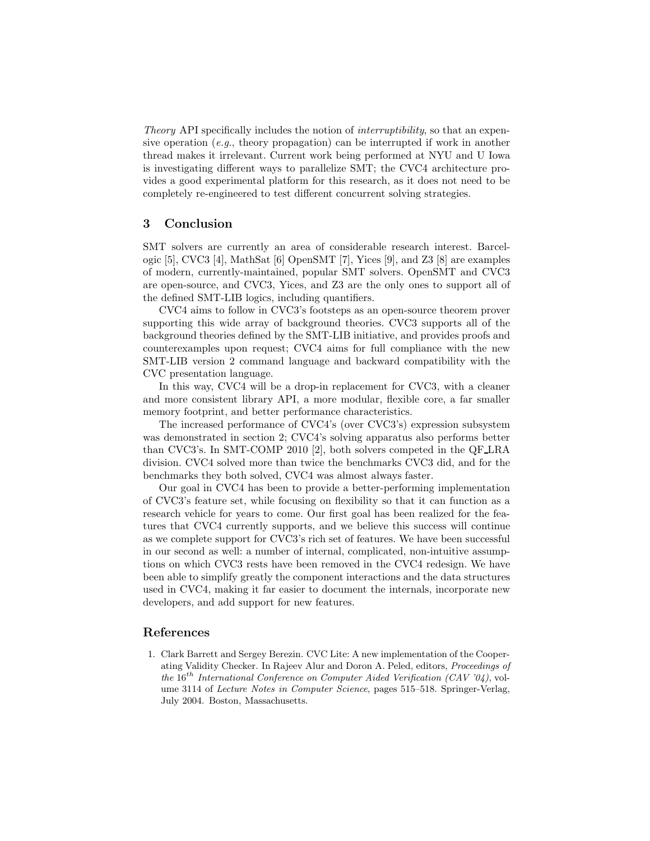Theory API specifically includes the notion of *interruptibility*, so that an expensive operation (e.g., theory propagation) can be interrupted if work in another thread makes it irrelevant. Current work being performed at NYU and U Iowa is investigating different ways to parallelize SMT; the CVC4 architecture provides a good experimental platform for this research, as it does not need to be completely re-engineered to test different concurrent solving strategies.

## 3 Conclusion

SMT solvers are currently an area of considerable research interest. Barcelogic [5], CVC3 [4], MathSat [6] OpenSMT [7], Yices [9], and Z3 [8] are examples of modern, currently-maintained, popular SMT solvers. OpenSMT and CVC3 are open-source, and CVC3, Yices, and Z3 are the only ones to support all of the defined SMT-LIB logics, including quantifiers.

CVC4 aims to follow in CVC3's footsteps as an open-source theorem prover supporting this wide array of background theories. CVC3 supports all of the background theories defined by the SMT-LIB initiative, and provides proofs and counterexamples upon request; CVC4 aims for full compliance with the new SMT-LIB version 2 command language and backward compatibility with the CVC presentation language.

In this way, CVC4 will be a drop-in replacement for CVC3, with a cleaner and more consistent library API, a more modular, flexible core, a far smaller memory footprint, and better performance characteristics.

The increased performance of CVC4's (over CVC3's) expression subsystem was demonstrated in section 2; CVC4's solving apparatus also performs better than CVC3's. In SMT-COMP 2010 [2], both solvers competed in the QF LRA division. CVC4 solved more than twice the benchmarks CVC3 did, and for the benchmarks they both solved, CVC4 was almost always faster.

Our goal in CVC4 has been to provide a better-performing implementation of CVC3's feature set, while focusing on flexibility so that it can function as a research vehicle for years to come. Our first goal has been realized for the features that CVC4 currently supports, and we believe this success will continue as we complete support for CVC3's rich set of features. We have been successful in our second as well: a number of internal, complicated, non-intuitive assumptions on which CVC3 rests have been removed in the CVC4 redesign. We have been able to simplify greatly the component interactions and the data structures used in CVC4, making it far easier to document the internals, incorporate new developers, and add support for new features.

## References

1. Clark Barrett and Sergey Berezin. CVC Lite: A new implementation of the Cooperating Validity Checker. In Rajeev Alur and Doron A. Peled, editors, Proceedings of the  $16^{th}$  International Conference on Computer Aided Verification (CAV '04), volume 3114 of Lecture Notes in Computer Science, pages 515–518. Springer-Verlag, July 2004. Boston, Massachusetts.